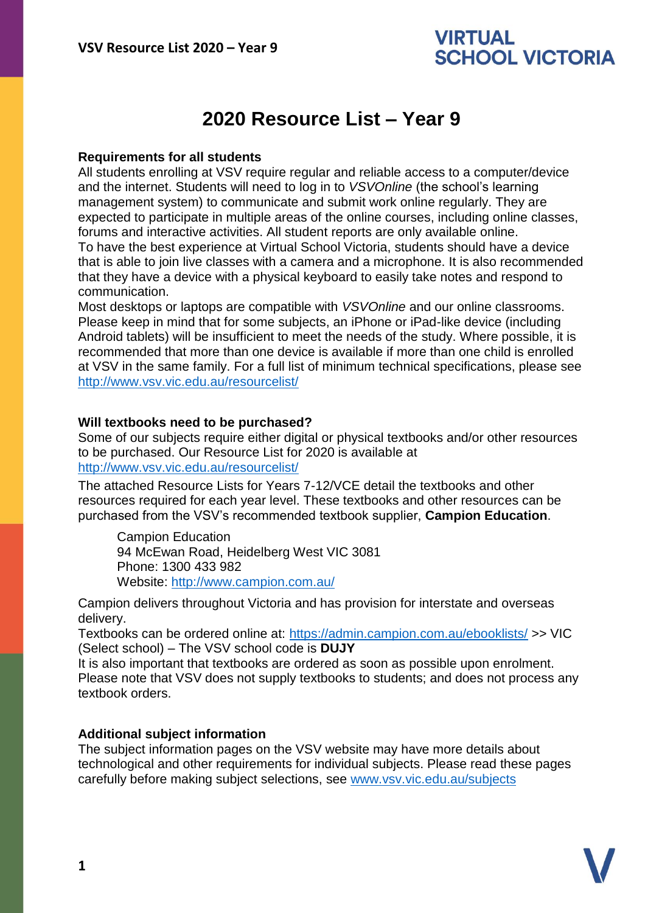## **VIRTUAL SCHOOL VICTORIA**

# **2020 Resource List – Year 9**

#### **Requirements for all students**

All students enrolling at VSV require regular and reliable access to a computer/device and the internet. Students will need to log in to *VSVOnline* (the school's learning management system) to communicate and submit work online regularly. They are expected to participate in multiple areas of the online courses, including online classes, forums and interactive activities. All student reports are only available online. To have the best experience at Virtual School Victoria, students should have a device that is able to join live classes with a camera and a microphone. It is also recommended that they have a device with a physical keyboard to easily take notes and respond to communication.

Most desktops or laptops are compatible with *VSVOnline* and our online classrooms. Please keep in mind that for some subjects, an iPhone or iPad-like device (including Android tablets) will be insufficient to meet the needs of the study. Where possible, it is recommended that more than one device is available if more than one child is enrolled at VSV in the same family. For a full list of minimum technical specifications, please see <http://www.vsv.vic.edu.au/resourcelist/>

#### **Will textbooks need to be purchased?**

Some of our subjects require either digital or physical textbooks and/or other resources to be purchased. Our Resource List for 2020 is available at [http://www.vsv.vic.edu.au/resourcelist/](http://www.vsv.vic.edu.au/resourcelist/%0d)

The attached Resource Lists for Years 7-12/VCE detail the textbooks and other resources required for each year level. These textbooks and other resources can be purchased from the VSV's recommended textbook supplier, **Campion Education**.

Campion Education 94 McEwan Road, Heidelberg West VIC 3081 Phone: 1300 433 982 Website:<http://www.campion.com.au/>

Campion delivers throughout Victoria and has provision for interstate and overseas delivery.

Textbooks can be ordered online at:<https://admin.campion.com.au/ebooklists/> >> VIC (Select school) – The VSV school code is **DUJY**

It is also important that textbooks are ordered as soon as possible upon enrolment. Please note that VSV does not supply textbooks to students; and does not process any textbook orders.

### **Additional subject information**

The subject information pages on the VSV website may have more details about technological and other requirements for individual subjects. Please read these pages carefully before making subject selections, see [www.vsv.vic.edu.au/subjects](http://www.vsv.vic.edu.au/subjects%0d)